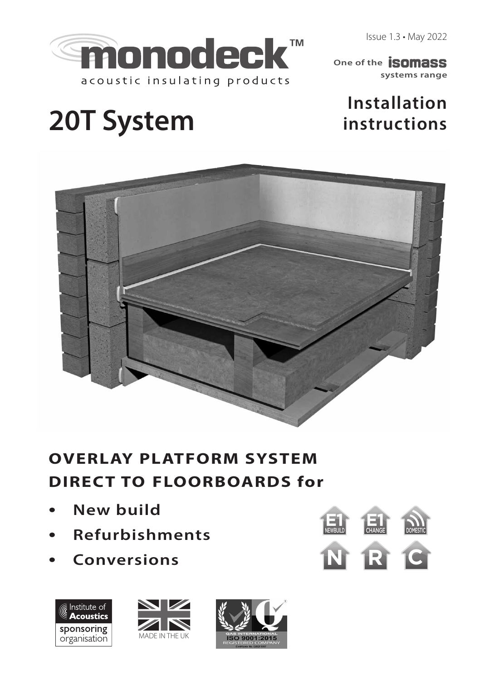Issue 1.3 • May 2022



**systems range One of the SOMASS** 

# **Installation instructions**

# **20T System**



# **OVERLAY PLATFORM SYSTEM DIRECT TO FLOORBOARDS for**

- **New build**
- **Refurbishments**
- **Conversions N R C**







**E1** NEWBUILD **E1** 

CHANGE DOMESTIC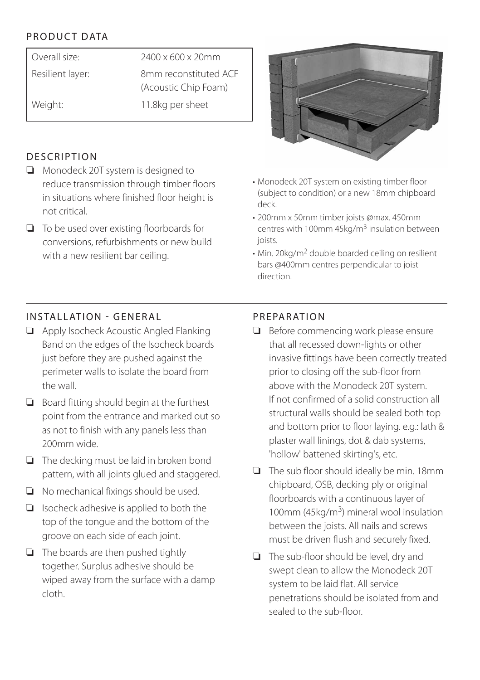# PRODUCT DATA

| Overall size:    | $2400 \times 600 \times 20$ mm |
|------------------|--------------------------------|
| Resilient layer: | 8mm reconstituted ACF          |
|                  | (Acoustic Chip Foam)           |
| Weight:          | 11.8kg per sheet               |
|                  |                                |

#### **DESCRIPTION**

- ❏ Monodeck 20T system is designed to reduce transmission through timber floors in situations where finished floor height is not critical.
- ❏ To be used over existing floorboards for conversions, refurbishments or new build with a new resilient bar ceiling.



- Monodeck 20T system on existing timber floor (subject to condition) or a new 18mm chipboard deck.
- 200mm x 50mm timber joists @max. 450mm centres with 100mm  $45$ kg/m<sup>3</sup> insulation between joists.
- Min. 20kg/m2 double boarded ceiling on resilient bars @400mm centres perpendicular to joist direction.

# INSTALLATION - GENERAL

- ❏ Apply Isocheck Acoustic Angled Flanking Band on the edges of the Isocheck boards just before they are pushed against the perimeter walls to isolate the board from the wall.
- ❏ Board fitting should begin at the furthest point from the entrance and marked out so as not to finish with any panels less than 200mm wide.
- ❏ The decking must be laid in broken bond pattern, with all joints glued and staggered.
- ❏ No mechanical fixings should be used.
- ❏ Isocheck adhesive is applied to both the top of the tongue and the bottom of the groove on each side of each joint.
- ❏ The boards are then pushed tightly together. Surplus adhesive should be wiped away from the surface with a damp cloth.

#### PREPARATION

- ❏ Before commencing work please ensure that all recessed down-lights or other invasive fittings have been correctly treated prior to closing off the sub-floor from above with the Monodeck 20T system. If not confirmed of a solid construction all structural walls should be sealed both top and bottom prior to floor laying. e.g.: lath & plaster wall linings, dot & dab systems, 'hollow' battened skirting's, etc.
- ❏ The sub floor should ideally be min. 18mm chipboard, OSB, decking ply or original floorboards with a continuous layer of 100mm (45 $kg/m<sup>3</sup>$ ) mineral wool insulation between the joists. All nails and screws must be driven flush and securely fixed.
- ❏ The sub-floor should be level, dry and swept clean to allow the Monodeck 20T system to be laid flat. All service penetrations should be isolated from and sealed to the sub-floor.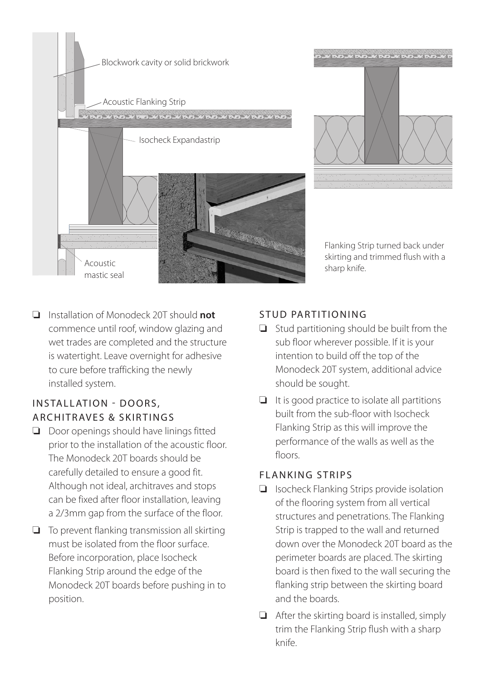



Flanking Strip turned back under skirting and trimmed flush with a

❏ Installation of Monodeck 20T should **not** commence until roof, window glazing and wet trades are completed and the structure is watertight. Leave overnight for adhesive to cure before trafficking the newly installed system.

#### INSTALLATION - DOORS, ARCHITRAVES & SKIRTINGS

- ❏ Door openings should have linings fitted prior to the installation of the acoustic floor. The Monodeck 20T boards should be carefully detailed to ensure a good fit. Although not ideal, architraves and stops can be fixed after floor installation, leaving a 2/3mm gap from the surface of the floor.
- ❏ To prevent flanking transmission all skirting must be isolated from the floor surface. Before incorporation, place Isocheck Flanking Strip around the edge of the Monodeck 20T boards before pushing in to position.

## STUD PARTITIONING

❏ Stud partitioning should be built from the sub floor wherever possible. If it is your intention to build off the top of the Monodeck 20T system, additional advice should be sought.

sharp knife.

❏ It is good practice to isolate all partitions built from the sub-floor with Isocheck Flanking Strip as this will improve the performance of the walls as well as the floors

#### FLANKING STRIPS

- ❏ Isocheck Flanking Strips provide isolation of the flooring system from all vertical structures and penetrations. The Flanking Strip is trapped to the wall and returned down over the Monodeck 20T board as the perimeter boards are placed. The skirting board is then fixed to the wall securing the flanking strip between the skirting board and the boards.
- ❏ After the skirting board is installed, simply trim the Flanking Strip flush with a sharp knife.